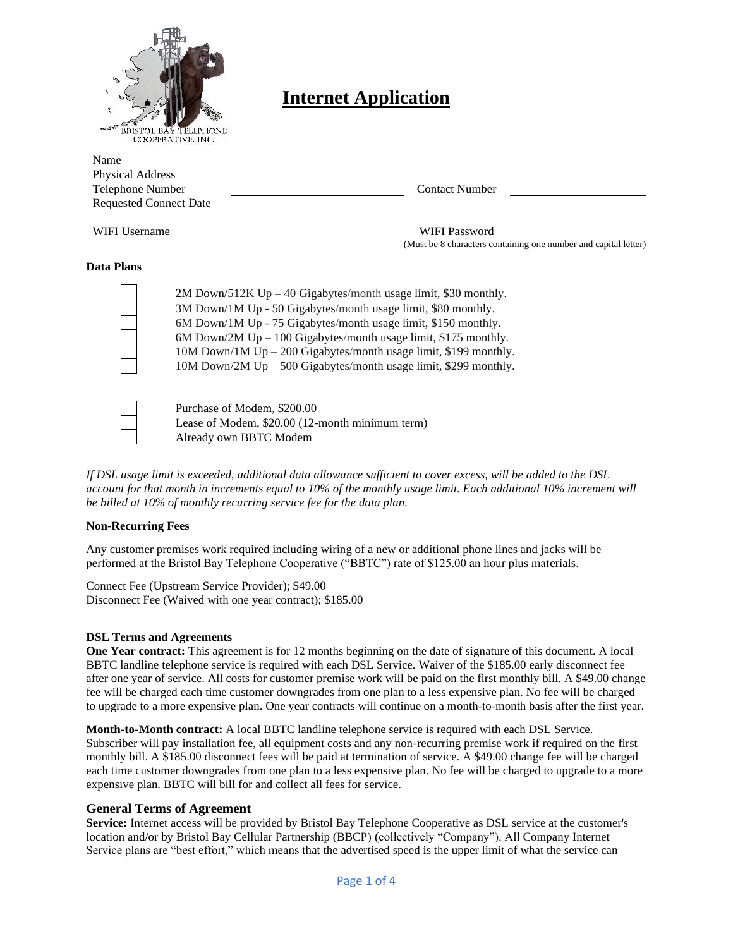

# **Internet Application**

| Name<br>Physical Address      |                                                                 |
|-------------------------------|-----------------------------------------------------------------|
| Telephone Number              | <b>Contact Number</b>                                           |
| <b>Requested Connect Date</b> |                                                                 |
| WIFI Username                 | WIFI Password                                                   |
|                               | (Must be 8 characters containing one number and capital letter) |

## **Data Plans**

| $2M$ Down/512K Up – 40 Gigabytes/month usage limit, \$30 monthly.  |
|--------------------------------------------------------------------|
| 3M Down/1M Up - 50 Gigabytes/month usage limit, \$80 monthly.      |
| 6M Down/1M Up - 75 Gigabytes/month usage limit, \$150 monthly.     |
| 6M Down/2M $Up - 100$ Gigabytes/month usage limit, \$175 monthly.  |
| $10M$ Down/1M Up – 200 Gigabytes/month usage limit, \$199 monthly. |
| 10M Down/2M Up - 500 Gigabytes/month usage limit, \$299 monthly.   |

Purchase of Modem, \$200.00 Lease of Modem, \$20.00 (12-month minimum term) Already own BBTC Modem

*If DSL usage limit is exceeded, additional data allowance sufficient to cover excess, will be added to the DSL account for that month in increments equal to 10% of the monthly usage limit. Each additional 10% increment will be billed at 10% of monthly recurring service fee for the data plan.* 

#### **Non-Recurring Fees**

Any customer premises work required including wiring of a new or additional phone lines and jacks will be performed at the Bristol Bay Telephone Cooperative ("BBTC") rate of \$125.00 an hour plus materials.

Connect Fee (Upstream Service Provider); \$49.00 Disconnect Fee (Waived with one year contract); \$185.00

### **DSL Terms and Agreements**

**One Year contract:** This agreement is for 12 months beginning on the date of signature of this document. A local BBTC landline telephone service is required with each DSL Service. Waiver of the \$185.00 early disconnect fee after one year of service. All costs for customer premise work will be paid on the first monthly bill. A \$49.00 change fee will be charged each time customer downgrades from one plan to a less expensive plan. No fee will be charged to upgrade to a more expensive plan. One year contracts will continue on a month-to-month basis after the first year.

**Month-to-Month contract:** A local BBTC landline telephone service is required with each DSL Service. Subscriber will pay installation fee, all equipment costs and any non-recurring premise work if required on the first monthly bill. A \$185.00 disconnect fees will be paid at termination of service. A \$49.00 change fee will be charged each time customer downgrades from one plan to a less expensive plan. No fee will be charged to upgrade to a more expensive plan. BBTC will bill for and collect all fees for service.

### **General Terms of Agreement**

**Service:** Internet access will be provided by Bristol Bay Telephone Cooperative as DSL service at the customer's location and/or by Bristol Bay Cellular Partnership (BBCP) (collectively "Company"). All Company Internet Service plans are "best effort," which means that the advertised speed is the upper limit of what the service can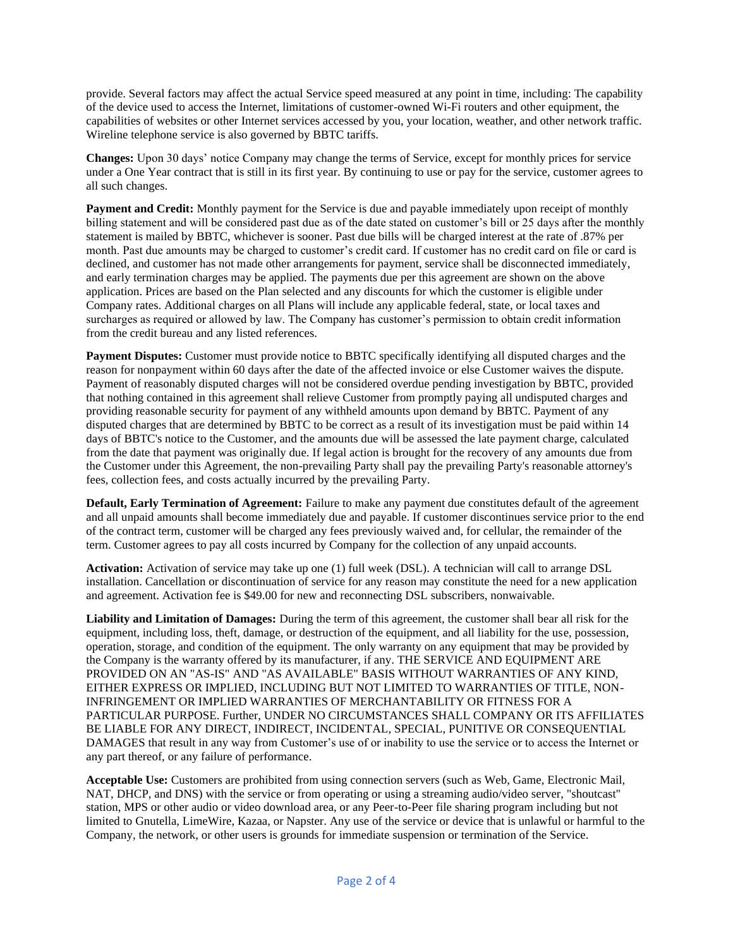provide. Several factors may affect the actual Service speed measured at any point in time, including: The capability of the device used to access the Internet, limitations of customer-owned Wi-Fi routers and other equipment, the capabilities of websites or other Internet services accessed by you, your location, weather, and other network traffic. Wireline telephone service is also governed by BBTC tariffs.

**Changes:** Upon 30 days' notice Company may change the terms of Service, except for monthly prices for service under a One Year contract that is still in its first year. By continuing to use or pay for the service, customer agrees to all such changes.

**Payment and Credit:** Monthly payment for the Service is due and payable immediately upon receipt of monthly billing statement and will be considered past due as of the date stated on customer's bill or 25 days after the monthly statement is mailed by BBTC, whichever is sooner. Past due bills will be charged interest at the rate of .87% per month. Past due amounts may be charged to customer's credit card. If customer has no credit card on file or card is declined, and customer has not made other arrangements for payment, service shall be disconnected immediately, and early termination charges may be applied. The payments due per this agreement are shown on the above application. Prices are based on the Plan selected and any discounts for which the customer is eligible under Company rates. Additional charges on all Plans will include any applicable federal, state, or local taxes and surcharges as required or allowed by law. The Company has customer's permission to obtain credit information from the credit bureau and any listed references.

**Payment Disputes:** Customer must provide notice to BBTC specifically identifying all disputed charges and the reason for nonpayment within 60 days after the date of the affected invoice or else Customer waives the dispute. Payment of reasonably disputed charges will not be considered overdue pending investigation by BBTC, provided that nothing contained in this agreement shall relieve Customer from promptly paying all undisputed charges and providing reasonable security for payment of any withheld amounts upon demand by BBTC. Payment of any disputed charges that are determined by BBTC to be correct as a result of its investigation must be paid within 14 days of BBTC's notice to the Customer, and the amounts due will be assessed the late payment charge, calculated from the date that payment was originally due. If legal action is brought for the recovery of any amounts due from the Customer under this Agreement, the non-prevailing Party shall pay the prevailing Party's reasonable attorney's fees, collection fees, and costs actually incurred by the prevailing Party.

**Default, Early Termination of Agreement:** Failure to make any payment due constitutes default of the agreement and all unpaid amounts shall become immediately due and payable. If customer discontinues service prior to the end of the contract term, customer will be charged any fees previously waived and, for cellular, the remainder of the term. Customer agrees to pay all costs incurred by Company for the collection of any unpaid accounts.

**Activation:** Activation of service may take up one (1) full week (DSL). A technician will call to arrange DSL installation. Cancellation or discontinuation of service for any reason may constitute the need for a new application and agreement. Activation fee is \$49.00 for new and reconnecting DSL subscribers, nonwaivable.

**Liability and Limitation of Damages:** During the term of this agreement, the customer shall bear all risk for the equipment, including loss, theft, damage, or destruction of the equipment, and all liability for the use, possession, operation, storage, and condition of the equipment. The only warranty on any equipment that may be provided by the Company is the warranty offered by its manufacturer, if any. THE SERVICE AND EQUIPMENT ARE PROVIDED ON AN "AS-IS" AND "AS AVAILABLE" BASIS WITHOUT WARRANTIES OF ANY KIND, EITHER EXPRESS OR IMPLIED, INCLUDING BUT NOT LIMITED TO WARRANTIES OF TITLE, NON-INFRINGEMENT OR IMPLIED WARRANTIES OF MERCHANTABILITY OR FITNESS FOR A PARTICULAR PURPOSE. Further, UNDER NO CIRCUMSTANCES SHALL COMPANY OR ITS AFFILIATES BE LIABLE FOR ANY DIRECT, INDIRECT, INCIDENTAL, SPECIAL, PUNITIVE OR CONSEQUENTIAL DAMAGES that result in any way from Customer's use of or inability to use the service or to access the Internet or any part thereof, or any failure of performance.

**Acceptable Use:** Customers are prohibited from using connection servers (such as Web, Game, Electronic Mail, NAT, DHCP, and DNS) with the service or from operating or using a streaming audio/video server, "shoutcast" station, MPS or other audio or video download area, or any Peer-to-Peer file sharing program including but not limited to Gnutella, LimeWire, Kazaa, or Napster. Any use of the service or device that is unlawful or harmful to the Company, the network, or other users is grounds for immediate suspension or termination of the Service.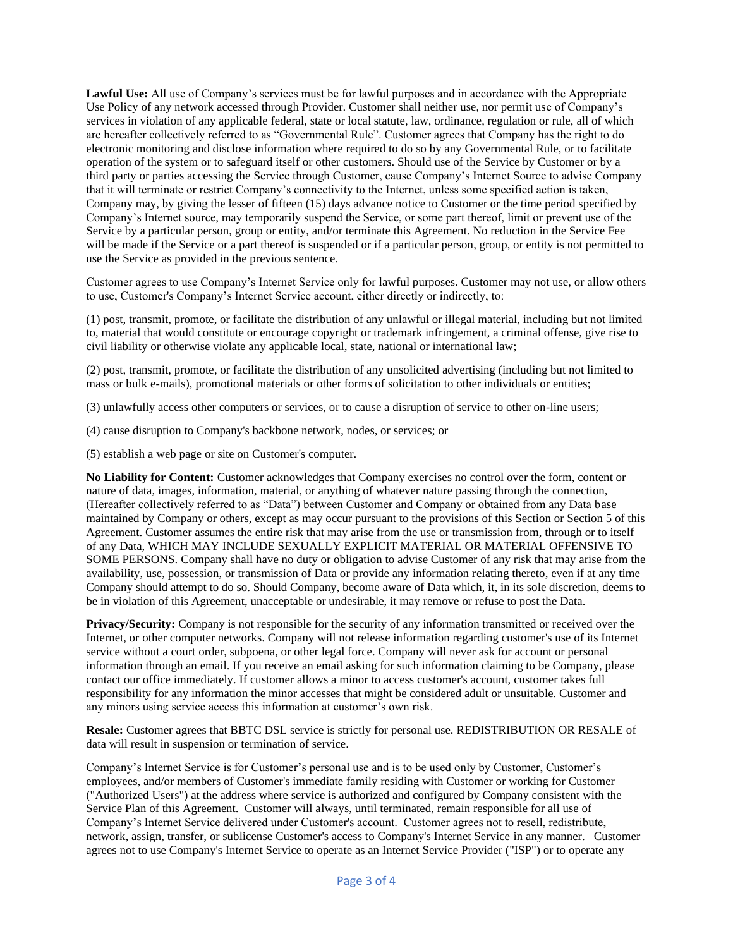**Lawful Use:** All use of Company's services must be for lawful purposes and in accordance with the Appropriate Use Policy of any network accessed through Provider. Customer shall neither use, nor permit use of Company's services in violation of any applicable federal, state or local statute, law, ordinance, regulation or rule, all of which are hereafter collectively referred to as "Governmental Rule". Customer agrees that Company has the right to do electronic monitoring and disclose information where required to do so by any Governmental Rule, or to facilitate operation of the system or to safeguard itself or other customers. Should use of the Service by Customer or by a third party or parties accessing the Service through Customer, cause Company's Internet Source to advise Company that it will terminate or restrict Company's connectivity to the Internet, unless some specified action is taken, Company may, by giving the lesser of fifteen (15) days advance notice to Customer or the time period specified by Company's Internet source, may temporarily suspend the Service, or some part thereof, limit or prevent use of the Service by a particular person, group or entity, and/or terminate this Agreement. No reduction in the Service Fee will be made if the Service or a part thereof is suspended or if a particular person, group, or entity is not permitted to use the Service as provided in the previous sentence.

Customer agrees to use Company's Internet Service only for lawful purposes. Customer may not use, or allow others to use, Customer's Company's Internet Service account, either directly or indirectly, to:

(1) post, transmit, promote, or facilitate the distribution of any unlawful or illegal material, including but not limited to, material that would constitute or encourage copyright or trademark infringement, a criminal offense, give rise to civil liability or otherwise violate any applicable local, state, national or international law;

(2) post, transmit, promote, or facilitate the distribution of any unsolicited advertising (including but not limited to mass or bulk e-mails), promotional materials or other forms of solicitation to other individuals or entities;

- (3) unlawfully access other computers or services, or to cause a disruption of service to other on-line users;
- (4) cause disruption to Company's backbone network, nodes, or services; or
- (5) establish a web page or site on Customer's computer.

**No Liability for Content:** Customer acknowledges that Company exercises no control over the form, content or nature of data, images, information, material, or anything of whatever nature passing through the connection, (Hereafter collectively referred to as "Data") between Customer and Company or obtained from any Data base maintained by Company or others, except as may occur pursuant to the provisions of this Section or Section 5 of this Agreement. Customer assumes the entire risk that may arise from the use or transmission from, through or to itself of any Data, WHICH MAY INCLUDE SEXUALLY EXPLICIT MATERIAL OR MATERIAL OFFENSIVE TO SOME PERSONS. Company shall have no duty or obligation to advise Customer of any risk that may arise from the availability, use, possession, or transmission of Data or provide any information relating thereto, even if at any time Company should attempt to do so. Should Company, become aware of Data which, it, in its sole discretion, deems to be in violation of this Agreement, unacceptable or undesirable, it may remove or refuse to post the Data.

**Privacy/Security:** Company is not responsible for the security of any information transmitted or received over the Internet, or other computer networks. Company will not release information regarding customer's use of its Internet service without a court order, subpoena, or other legal force. Company will never ask for account or personal information through an email. If you receive an email asking for such information claiming to be Company, please contact our office immediately. If customer allows a minor to access customer's account, customer takes full responsibility for any information the minor accesses that might be considered adult or unsuitable. Customer and any minors using service access this information at customer's own risk.

**Resale:** Customer agrees that BBTC DSL service is strictly for personal use. REDISTRIBUTION OR RESALE of data will result in suspension or termination of service.

Company's Internet Service is for Customer's personal use and is to be used only by Customer, Customer's employees, and/or members of Customer's immediate family residing with Customer or working for Customer ("Authorized Users") at the address where service is authorized and configured by Company consistent with the Service Plan of this Agreement. Customer will always, until terminated, remain responsible for all use of Company's Internet Service delivered under Customer's account. Customer agrees not to resell, redistribute, network, assign, transfer, or sublicense Customer's access to Company's Internet Service in any manner. Customer agrees not to use Company's Internet Service to operate as an Internet Service Provider ("ISP") or to operate any